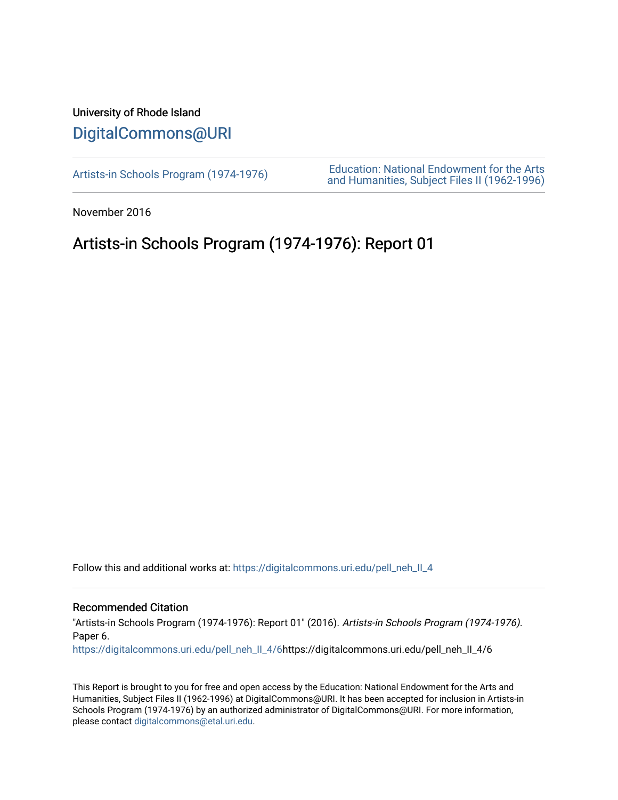## University of Rhode Island [DigitalCommons@URI](https://digitalcommons.uri.edu/)

[Artists-in Schools Program \(1974-1976\)](https://digitalcommons.uri.edu/pell_neh_II_4) [Education: National Endowment for the Arts](https://digitalcommons.uri.edu/pell_neh_II)  [and Humanities, Subject Files II \(1962-1996\)](https://digitalcommons.uri.edu/pell_neh_II) 

November 2016

# Artists-in Schools Program (1974-1976): Report 01

Follow this and additional works at: [https://digitalcommons.uri.edu/pell\\_neh\\_II\\_4](https://digitalcommons.uri.edu/pell_neh_II_4?utm_source=digitalcommons.uri.edu%2Fpell_neh_II_4%2F6&utm_medium=PDF&utm_campaign=PDFCoverPages) 

## Recommended Citation

"Artists-in Schools Program (1974-1976): Report 01" (2016). Artists-in Schools Program (1974-1976). Paper 6.

[https://digitalcommons.uri.edu/pell\\_neh\\_II\\_4/6](https://digitalcommons.uri.edu/pell_neh_II_4/6?utm_source=digitalcommons.uri.edu%2Fpell_neh_II_4%2F6&utm_medium=PDF&utm_campaign=PDFCoverPages)https://digitalcommons.uri.edu/pell\_neh\_II\_4/6

This Report is brought to you for free and open access by the Education: National Endowment for the Arts and Humanities, Subject Files II (1962-1996) at DigitalCommons@URI. It has been accepted for inclusion in Artists-in Schools Program (1974-1976) by an authorized administrator of DigitalCommons@URI. For more information, please contact [digitalcommons@etal.uri.edu.](mailto:digitalcommons@etal.uri.edu)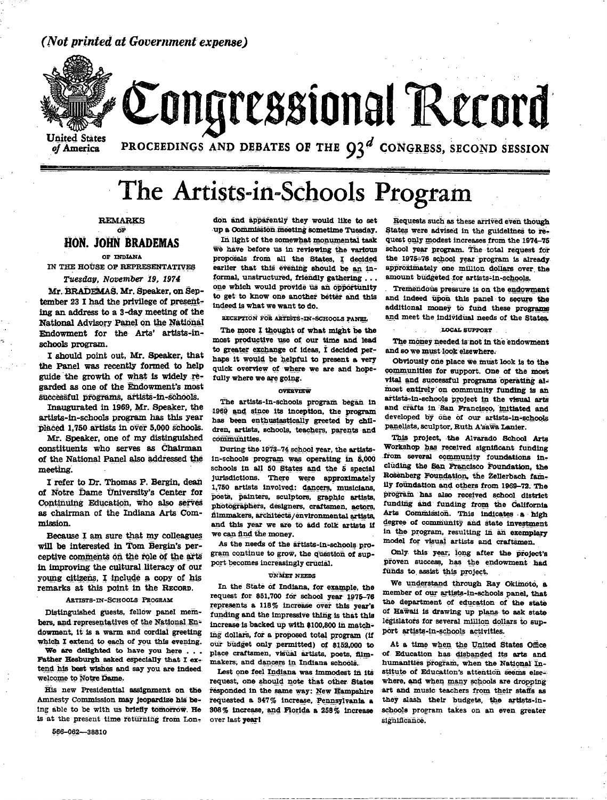## (Not printed at Government expense)



Congressional Record

**United States** of America

PROCEEDINGS AND DEBATES OF THE  $Q_3^d$  CONGRESS, SECOND SESSION

# The Artists-in-Schools Program

## **REMARKS** óF **HON. JOHN BRADEMAS**

## OF TNDIANA

IN THE HOUSE OF REPRESENTATIVES Tuesday, November 19, 1974

Mr. BRADEMAS. Mr. Speaker, on September 23 I had the privilege of presenting an address to a 3-day meeting of the National Advisory Panel on the National Endowment for the Arts' artists-inschools program.

I should point out, Mr. Speaker, that the Panel was recently formed to help guide the growth of what is widely regarded as one of the Endowment's most successful programs, artists-in-schools.

Inaugurated in 1969, Mr. Speaker, the artists-in-schools program has this year placed 1.750 artists in over 5,000 schools.

Mr. Speaker, one of my distinguished constituents who serves as Chairman of the National Panel also addressed the meeting.

I refer to Dr. Thomas P. Bergin, dean of Notre Dame University's Center for Continuing Education, who also serves as chairman of the Indiana Arts Commission.

Because I am sure that my colleagues will be interested in Tom Bergin's perceptive comments on the role of the arts in improving the cultural literacy of our young citizens, I include a copy of his remarks at this point in the RECORD.

#### **ARTISTS-IN-SCHOOLS PROGRAM**

Distinguished guests, fellow panel members, and representatives of the National Endowment, it is a warm and cordial greeting which I extend to each of you this evening.

We are delighted to have you here . . . Father Hesburgh asked especially that I extend his best wishes and say you are indeed. welcome to Notre Dame.

His new Presidential assignment on the Amnesty Commission may jeopardize his being able to be with us briefly tomorrow. He is at the present time returning from Lon-

566-062-38810

don and apparently they would like to set up a Commission meeting sometime Tuesday.

In light of the somewhat monumental task we have before us in reviewing the various proposals from all the States, I decided earlier that this evening should be an informal, unstructured, friendly gathering . . . one which would provide us an opportunity to get to know one another better and this indeed is what we want to do.

RECEPTION FOR ARTISTS-IN-SCHOOLS PANEL

The more I thought of what might be the most productive use of our time and lead to greater exchange of ideas, I decided perhaps it would be helpful to present a very quick overview of where we are and hopefully where we are going.

#### **OVERVIEW**

The artists-in-schools program began in 1969 and since its inception, the program has been enthusiastically greeted by children, artists, schools, teachers, parents and communities.

During the 1973-74 school year, the artistsin-schools program was operating in 5,000 schools in all 50 States and the 5 special jurisdictions. There were approximately 1,750 artists involved: dancers, musicians, poets, painters, sculptors, graphic artists, photographers, designers, craftsmen, actors, filmmakers, architects/environmental artists, and this year we are to add folk artists if we can find the money.

As the needs of the artists-in-schools program continue to grow, the question of support becomes increasingly crucial.

#### **UNMET NEEDS**

In the State of Indiana, for example, the request for \$51,700 for school year 1975-76 represents a 118% increase over this year's funding and the impressive thing is that this increase is backed up with \$100,800 in matching dollars, for a proposed total program (if our budget only permitted) of \$152,000 to place craftsmen, visual artists, poets, filmmakers, and dancers in Indiana schools.

Lest one feel Indiana was immodest in its request, one should note that other States responded in the same way: New Hampshire requested a 347% increase, Pennsylvania a 308% increase, and Florida a 258% increase over last vear!

Requests such as these arrived even though States were advised in the guidelines to request only modest increases from the 1974-75 school year program. The total request for the 1975-76 school year program is already approximately one million dollars over the amount budgeted for artists-in-schools.

Tremendous pressure is on the endowment and indeed upon this panel to secure the additional money to fund these programs and meet the individual needs of the States.

#### **LOCAL SUPPORT**

The money needed is not in the endowment and so we must look elsewhere.

Obviously one place we must look is to the communities for support. One of the most vital and successful programs operating almost entirely on community funding is an artists-in-schools project in the visual arts and crafts in San Francisco, initiated and developed by one of our artists-in-schools panelists, sculptor, Ruth A'sawa Lanier.

This project, the Alvarado School Arts Workshop has received significant funding from several community foundations including the San Francisco Foundation, the Rosenberg Foundation, the Zellerbach family foundation and others from 1969-72. The program has also received school district funding and funding from the California Arts Commission. This indicates a high degree of community and state investment in the program, resulting in an exemplary model for visual artists and craftsmen.

Only this year, long after the project's proven success, has the endowment had funds to assist this project.

We understand through Ray Okimoto, a member of our artists-in-schools panel, that the department of education of the state of Hawaii is drawing up plans to ask state legislators for several million dollars to support artists-in-schools activities.

At a time when the United States Office of Education has dishanded its arts and humanities program, when the National Institute of Education's attention seems elsewhere, and when many schools are dropping art and music teachers from their staffs as they slash their budgets, the artists-inschools program takes on an even greater significance.